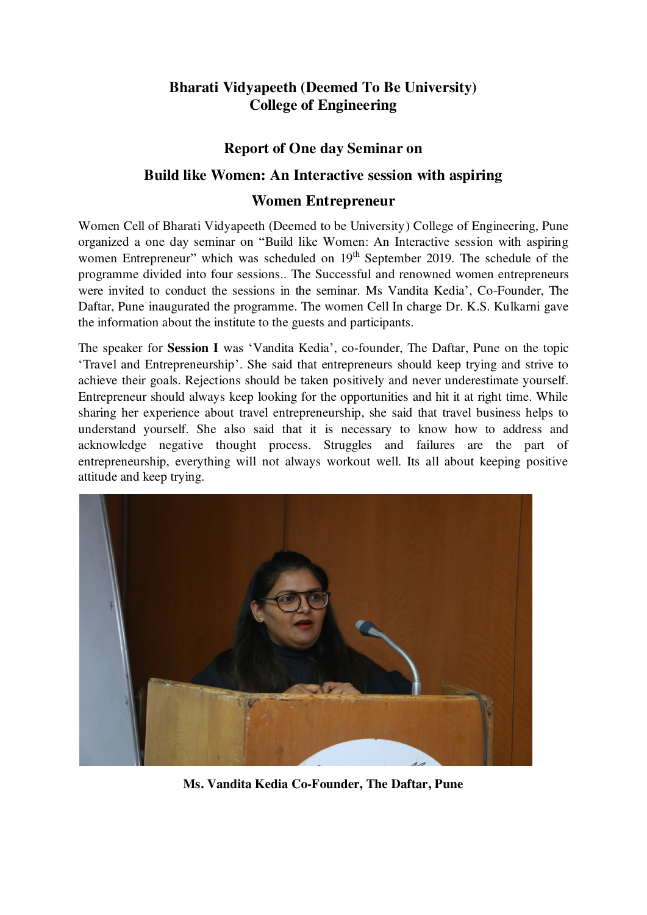## **Bharati Vidyapeeth (Deemed To Be University) College of Engineering**

## **Report of One day Seminar on**

## **Build like Women: An Interactive session with aspiring**

## **Women Entrepreneur**

Women Cell of Bharati Vidyapeeth (Deemed to be University) College of Engineering, Pune organized a one day seminar on "Build like Women: An Interactive session with aspiring women Entrepreneur" which was scheduled on 19<sup>th</sup> September 2019. The schedule of the programme divided into four sessions.. The Successful and renowned women entrepreneurs were invited to conduct the sessions in the seminar. Ms Vandita Kedia', Co-Founder, The Daftar, Pune inaugurated the programme. The women Cell In charge Dr. K.S. Kulkarni gave the information about the institute to the guests and participants.

The speaker for **Session I** was 'Vandita Kedia', co-founder, The Daftar, Pune on the topic 'Travel and Entrepreneurship'. She said that entrepreneurs should keep trying and strive to achieve their goals. Rejections should be taken positively and never underestimate yourself. Entrepreneur should always keep looking for the opportunities and hit it at right time. While sharing her experience about travel entrepreneurship, she said that travel business helps to understand yourself. She also said that it is necessary to know how to address and acknowledge negative thought process. Struggles and failures are the part of entrepreneurship, everything will not always workout well. Its all about keeping positive attitude and keep trying.



**Ms. Vandita Kedia Co-Founder, The Daftar, Pune**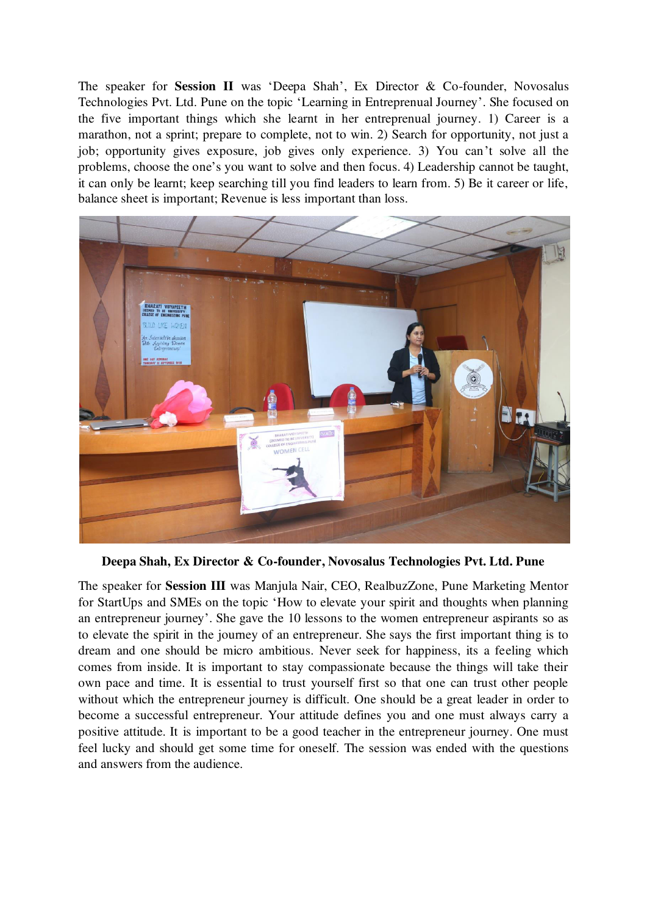The speaker for **Session II** was 'Deepa Shah', Ex Director & Co-founder, Novosalus Technologies Pvt. Ltd. Pune on the topic 'Learning in Entreprenual Journey'. She focused on the five important things which she learnt in her entreprenual journey. 1) Career is a marathon, not a sprint; prepare to complete, not to win. 2) Search for opportunity, not just a job; opportunity gives exposure, job gives only experience. 3) You can't solve all the problems, choose the one's you want to solve and then focus. 4) Leadership cannot be taught, it can only be learnt; keep searching till you find leaders to learn from. 5) Be it career or life, balance sheet is important; Revenue is less important than loss.



**Deepa Shah, Ex Director & Co-founder, Novosalus Technologies Pvt. Ltd. Pune** 

The speaker for **Session III** was Manjula Nair, CEO, RealbuzZone, Pune Marketing Mentor for StartUps and SMEs on the topic 'How to elevate your spirit and thoughts when planning an entrepreneur journey'. She gave the 10 lessons to the women entrepreneur aspirants so as to elevate the spirit in the journey of an entrepreneur. She says the first important thing is to dream and one should be micro ambitious. Never seek for happiness, its a feeling which comes from inside. It is important to stay compassionate because the things will take their own pace and time. It is essential to trust yourself first so that one can trust other people without which the entrepreneur journey is difficult. One should be a great leader in order to become a successful entrepreneur. Your attitude defines you and one must always carry a positive attitude. It is important to be a good teacher in the entrepreneur journey. One must feel lucky and should get some time for oneself. The session was ended with the questions and answers from the audience.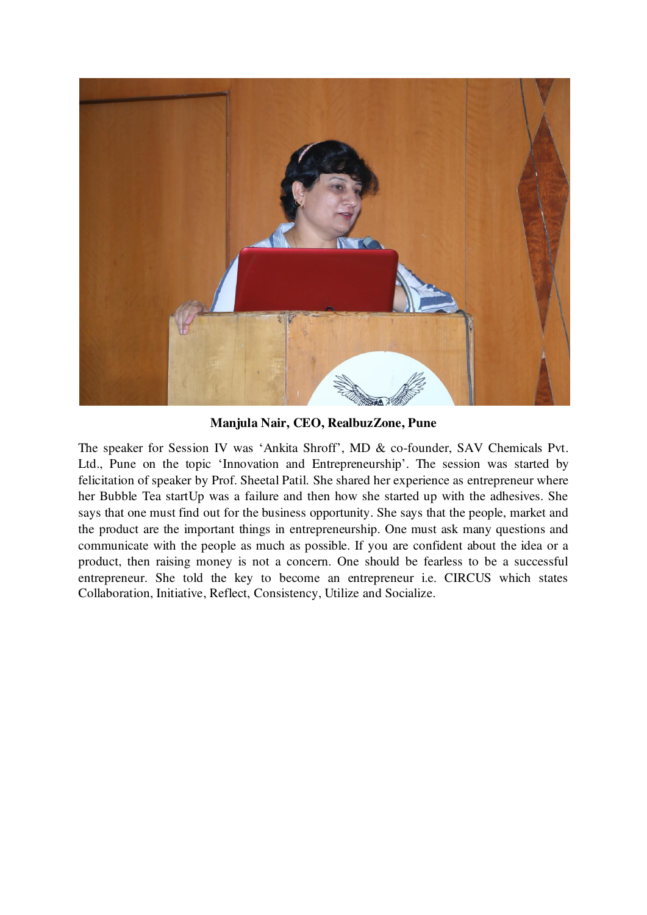

**Manjula Nair, CEO, RealbuzZone, Pune** 

The speaker for Session IV was 'Ankita Shroff', MD & co-founder, SAV Chemicals Pvt. Ltd., Pune on the topic 'Innovation and Entrepreneurship'. The session was started by felicitation of speaker by Prof. Sheetal Patil. She shared her experience as entrepreneur where her Bubble Tea startUp was a failure and then how she started up with the adhesives. She says that one must find out for the business opportunity. She says that the people, market and the product are the important things in entrepreneurship. One must ask many questions and communicate with the people as much as possible. If you are confident about the idea or a product, then raising money is not a concern. One should be fearless to be a successful entrepreneur. She told the key to become an entrepreneur i.e. CIRCUS which states Collaboration, Initiative, Reflect, Consistency, Utilize and Socialize.